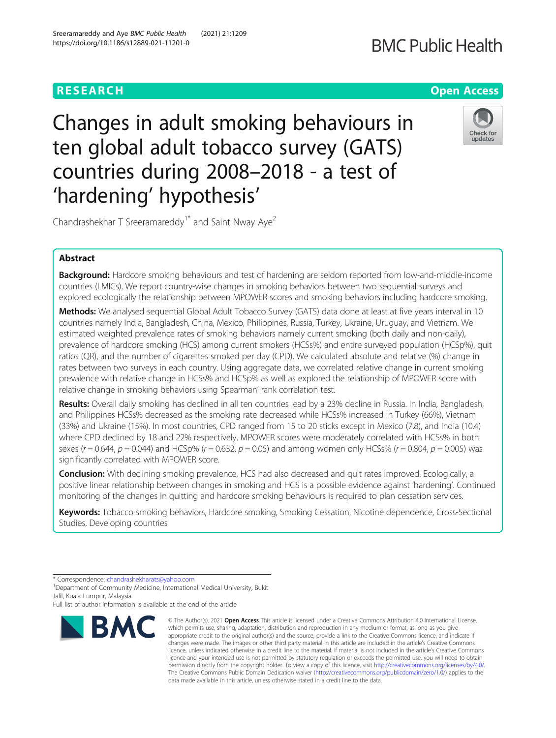## **RESEARCH CHE Open Access**

# **BMC Public Health**

Changes in adult smoking behaviours in ten global adult tobacco survey (GATS) countries during 2008–2018 - a test of 'hardening' hypothesis'



Chandrashekhar T Sreeramareddy<sup>1\*</sup> and Saint Nway Aye<sup>2</sup>

## Abstract

Background: Hardcore smoking behaviours and test of hardening are seldom reported from low-and-middle-income countries (LMICs). We report country-wise changes in smoking behaviors between two sequential surveys and explored ecologically the relationship between MPOWER scores and smoking behaviors including hardcore smoking.

Methods: We analysed sequential Global Adult Tobacco Survey (GATS) data done at least at five years interval in 10 countries namely India, Bangladesh, China, Mexico, Philippines, Russia, Turkey, Ukraine, Uruguay, and Vietnam. We estimated weighted prevalence rates of smoking behaviors namely current smoking (both daily and non-daily), prevalence of hardcore smoking (HCS) among current smokers (HCSs%) and entire surveyed population (HCSp%), quit ratios (QR), and the number of cigarettes smoked per day (CPD). We calculated absolute and relative (%) change in rates between two surveys in each country. Using aggregate data, we correlated relative change in current smoking prevalence with relative change in HCSs% and HCSp% as well as explored the relationship of MPOWER score with relative change in smoking behaviors using Spearman' rank correlation test.

Results: Overall daily smoking has declined in all ten countries lead by a 23% decline in Russia. In India, Bangladesh, and Philippines HCSs% decreased as the smoking rate decreased while HCSs% increased in Turkey (66%), Vietnam (33%) and Ukraine (15%). In most countries, CPD ranged from 15 to 20 sticks except in Mexico (7.8), and India (10.4) where CPD declined by 18 and 22% respectively. MPOWER scores were moderately correlated with HCSs% in both sexes ( $r = 0.644$ ,  $p = 0.044$ ) and HCSp% ( $r = 0.632$ ,  $p = 0.05$ ) and among women only HCSs% ( $r = 0.804$ ,  $p = 0.005$ ) was significantly correlated with MPOWER score.

**Conclusion:** With declining smoking prevalence, HCS had also decreased and quit rates improved. Ecologically, a positive linear relationship between changes in smoking and HCS is a possible evidence against 'hardening'. Continued monitoring of the changes in quitting and hardcore smoking behaviours is required to plan cessation services.

Keywords: Tobacco smoking behaviors, Hardcore smoking, Smoking Cessation, Nicotine dependence, Cross-Sectional Studies, Developing countries

<sup>1</sup> Department of Community Medicine, International Medical University, Bukit Jalil, Kuala Lumpur, Malaysia

Full list of author information is available at the end of the article



<sup>©</sup> The Author(s), 2021 **Open Access** This article is licensed under a Creative Commons Attribution 4.0 International License, which permits use, sharing, adaptation, distribution and reproduction in any medium or format, as long as you give appropriate credit to the original author(s) and the source, provide a link to the Creative Commons licence, and indicate if changes were made. The images or other third party material in this article are included in the article's Creative Commons licence, unless indicated otherwise in a credit line to the material. If material is not included in the article's Creative Commons licence and your intended use is not permitted by statutory regulation or exceeds the permitted use, you will need to obtain permission directly from the copyright holder. To view a copy of this licence, visit [http://creativecommons.org/licenses/by/4.0/.](http://creativecommons.org/licenses/by/4.0/) The Creative Commons Public Domain Dedication waiver [\(http://creativecommons.org/publicdomain/zero/1.0/](http://creativecommons.org/publicdomain/zero/1.0/)) applies to the data made available in this article, unless otherwise stated in a credit line to the data.

<sup>\*</sup> Correspondence: [chandrashekharats@yahoo.com](mailto:chandrashekharats@yahoo.com) <sup>1</sup>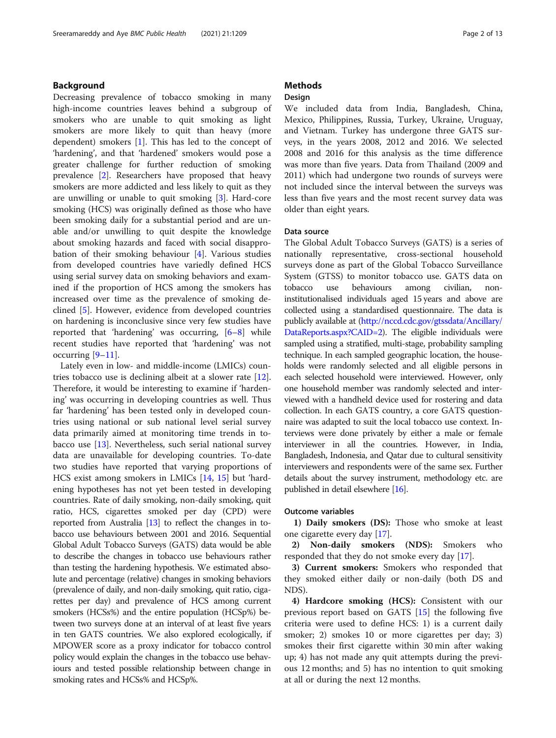## Background

Decreasing prevalence of tobacco smoking in many high-income countries leaves behind a subgroup of smokers who are unable to quit smoking as light smokers are more likely to quit than heavy (more dependent) smokers [[1\]](#page-11-0). This has led to the concept of 'hardening', and that 'hardened' smokers would pose a greater challenge for further reduction of smoking prevalence [[2\]](#page-11-0). Researchers have proposed that heavy smokers are more addicted and less likely to quit as they are unwilling or unable to quit smoking [\[3](#page-11-0)]. Hard-core smoking (HCS) was originally defined as those who have been smoking daily for a substantial period and are unable and/or unwilling to quit despite the knowledge about smoking hazards and faced with social disapprobation of their smoking behaviour [\[4](#page-11-0)]. Various studies from developed countries have variedly defined HCS using serial survey data on smoking behaviors and examined if the proportion of HCS among the smokers has increased over time as the prevalence of smoking declined [\[5](#page-11-0)]. However, evidence from developed countries on hardening is inconclusive since very few studies have reported that 'hardening' was occurring, [[6](#page-11-0)–[8](#page-11-0)] while recent studies have reported that 'hardening' was not occurring  $[9-11]$  $[9-11]$  $[9-11]$ .

Lately even in low- and middle-income (LMICs) countries tobacco use is declining albeit at a slower rate [\[12](#page-11-0)]. Therefore, it would be interesting to examine if 'hardening' was occurring in developing countries as well. Thus far 'hardening' has been tested only in developed countries using national or sub national level serial survey data primarily aimed at monitoring time trends in tobacco use [\[13\]](#page-11-0). Nevertheless, such serial national survey data are unavailable for developing countries. To-date two studies have reported that varying proportions of HCS exist among smokers in LMICs [\[14,](#page-12-0) [15\]](#page-12-0) but 'hardening hypotheses has not yet been tested in developing countries. Rate of daily smoking, non-daily smoking, quit ratio, HCS, cigarettes smoked per day (CPD) were reported from Australia [\[13\]](#page-11-0) to reflect the changes in tobacco use behaviours between 2001 and 2016. Sequential Global Adult Tobacco Surveys (GATS) data would be able to describe the changes in tobacco use behaviours rather than testing the hardening hypothesis. We estimated absolute and percentage (relative) changes in smoking behaviors (prevalence of daily, and non-daily smoking, quit ratio, cigarettes per day) and prevalence of HCS among current smokers (HCSs%) and the entire population (HCSp%) between two surveys done at an interval of at least five years in ten GATS countries. We also explored ecologically, if MPOWER score as a proxy indicator for tobacco control policy would explain the changes in the tobacco use behaviours and tested possible relationship between change in smoking rates and HCSs% and HCSp%.

## **Methods**

## Design

We included data from India, Bangladesh, China, Mexico, Philippines, Russia, Turkey, Ukraine, Uruguay, and Vietnam. Turkey has undergone three GATS surveys, in the years 2008, 2012 and 2016. We selected 2008 and 2016 for this analysis as the time difference was more than five years. Data from Thailand (2009 and 2011) which had undergone two rounds of surveys were not included since the interval between the surveys was less than five years and the most recent survey data was older than eight years.

#### Data source

The Global Adult Tobacco Surveys (GATS) is a series of nationally representative, cross-sectional household surveys done as part of the Global Tobacco Surveillance System (GTSS) to monitor tobacco use. GATS data on tobacco use behaviours among civilian, noninstitutionalised individuals aged 15 years and above are collected using a standardised questionnaire. The data is publicly available at [\(http://nccd.cdc.gov/gtssdata/Ancillary/](http://nccd.cdc.gov/gtssdata/Ancillary/DataReports.aspx?CAID=2)) [DataReports.aspx?CAID=2\)](http://nccd.cdc.gov/gtssdata/Ancillary/DataReports.aspx?CAID=2)). The eligible individuals were sampled using a stratified, multi-stage, probability sampling technique. In each sampled geographic location, the households were randomly selected and all eligible persons in each selected household were interviewed. However, only one household member was randomly selected and interviewed with a handheld device used for rostering and data collection. In each GATS country, a core GATS questionnaire was adapted to suit the local tobacco use context. Interviews were done privately by either a male or female interviewer in all the countries. However, in India, Bangladesh, Indonesia, and Qatar due to cultural sensitivity interviewers and respondents were of the same sex. Further details about the survey instrument, methodology etc. are published in detail elsewhere [\[16](#page-12-0)].

#### Outcome variables

1) Daily smokers (DS): Those who smoke at least one cigarette every day [[17\]](#page-12-0).

2) Non-daily smokers (NDS): Smokers who responded that they do not smoke every day [[17\]](#page-12-0).

3) Current smokers: Smokers who responded that they smoked either daily or non-daily (both DS and NDS).

4) Hardcore smoking (HCS): Consistent with our previous report based on GATS [[15\]](#page-12-0) the following five criteria were used to define HCS: 1) is a current daily smoker; 2) smokes 10 or more cigarettes per day; 3) smokes their first cigarette within 30 min after waking up; 4) has not made any quit attempts during the previous 12 months; and 5) has no intention to quit smoking at all or during the next 12 months.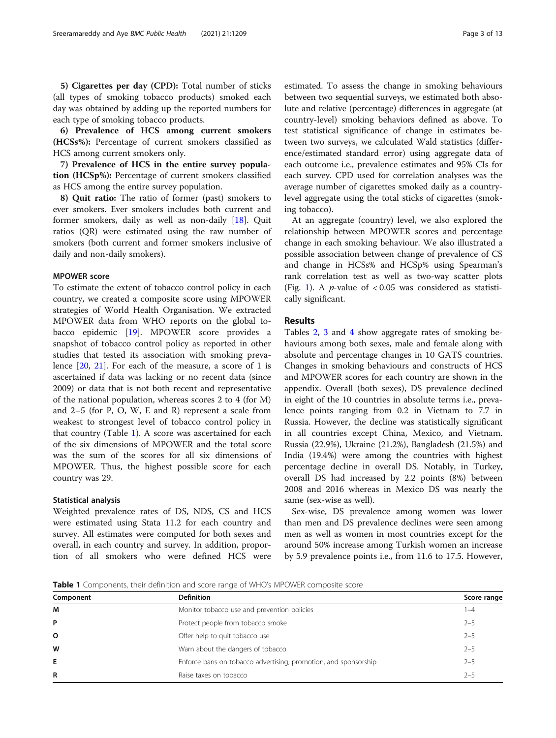5) Cigarettes per day (CPD): Total number of sticks (all types of smoking tobacco products) smoked each day was obtained by adding up the reported numbers for each type of smoking tobacco products.

6) Prevalence of HCS among current smokers (HCSs%): Percentage of current smokers classified as HCS among current smokers only.

7) Prevalence of HCS in the entire survey population (HCSp%): Percentage of current smokers classified as HCS among the entire survey population.

8) Quit ratio: The ratio of former (past) smokers to ever smokers. Ever smokers includes both current and former smokers, daily as well as non-daily [\[18](#page-12-0)]. Quit ratios (QR) were estimated using the raw number of smokers (both current and former smokers inclusive of daily and non-daily smokers).

## MPOWER score

To estimate the extent of tobacco control policy in each country, we created a composite score using MPOWER strategies of World Health Organisation. We extracted MPOWER data from WHO reports on the global tobacco epidemic [\[19](#page-12-0)]. MPOWER score provides a snapshot of tobacco control policy as reported in other studies that tested its association with smoking prevalence [\[20,](#page-12-0) [21\]](#page-12-0). For each of the measure, a score of 1 is ascertained if data was lacking or no recent data (since 2009) or data that is not both recent and representative of the national population, whereas scores 2 to 4 (for M) and 2–5 (for P, O, W, E and R) represent a scale from weakest to strongest level of tobacco control policy in that country (Table 1). A score was ascertained for each of the six dimensions of MPOWER and the total score was the sum of the scores for all six dimensions of MPOWER. Thus, the highest possible score for each country was 29.

#### Statistical analysis

Weighted prevalence rates of DS, NDS, CS and HCS were estimated using Stata 11.2 for each country and survey. All estimates were computed for both sexes and overall, in each country and survey. In addition, proportion of all smokers who were defined HCS were estimated. To assess the change in smoking behaviours between two sequential surveys, we estimated both absolute and relative (percentage) differences in aggregate (at country-level) smoking behaviors defined as above. To test statistical significance of change in estimates between two surveys, we calculated Wald statistics (difference/estimated standard error) using aggregate data of each outcome i.e., prevalence estimates and 95% CIs for each survey. CPD used for correlation analyses was the average number of cigarettes smoked daily as a countrylevel aggregate using the total sticks of cigarettes (smoking tobacco).

At an aggregate (country) level, we also explored the relationship between MPOWER scores and percentage change in each smoking behaviour. We also illustrated a possible association between change of prevalence of CS and change in HCSs% and HCSp% using Spearman's rank correlation test as well as two-way scatter plots (Fig. [1\)](#page-3-0). A *p*-value of  $< 0.05$  was considered as statistically significant.

## Results

Tables [2](#page-4-0), [3](#page-6-0) and [4](#page-8-0) show aggregate rates of smoking behaviours among both sexes, male and female along with absolute and percentage changes in 10 GATS countries. Changes in smoking behaviours and constructs of HCS and MPOWER scores for each country are shown in the appendix. Overall (both sexes), DS prevalence declined in eight of the 10 countries in absolute terms i.e., prevalence points ranging from 0.2 in Vietnam to 7.7 in Russia. However, the decline was statistically significant in all countries except China, Mexico, and Vietnam. Russia (22.9%), Ukraine (21.2%), Bangladesh (21.5%) and India (19.4%) were among the countries with highest percentage decline in overall DS. Notably, in Turkey, overall DS had increased by 2.2 points (8%) between 2008 and 2016 whereas in Mexico DS was nearly the same (sex-wise as well).

Sex-wise, DS prevalence among women was lower than men and DS prevalence declines were seen among men as well as women in most countries except for the around 50% increase among Turkish women an increase by 5.9 prevalence points i.e., from 11.6 to 17.5. However,

**Table 1** Components, their definition and score range of WHO's MPOWER composite score

| Component | <b>Definition</b>                                               | Score range |
|-----------|-----------------------------------------------------------------|-------------|
| M         | Monitor tobacco use and prevention policies                     | -4          |
| P         | Protect people from tobacco smoke                               | $2 - 5$     |
| O         | Offer help to quit tobacco use                                  | $2 - 5$     |
| W         | Warn about the dangers of tobacco                               | $2 - 5$     |
| Е         | Enforce bans on tobacco advertising, promotion, and sponsorship | $2 - 5$     |
| R         | Raise taxes on tobacco                                          | $2 - 5$     |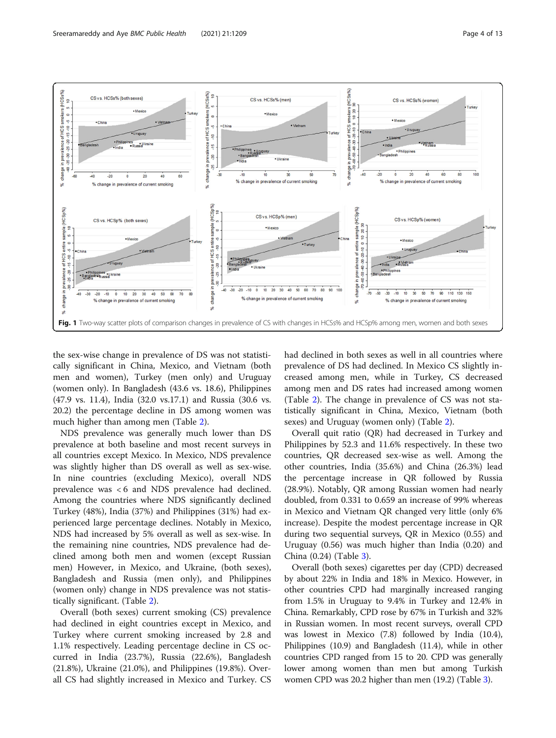<span id="page-3-0"></span>

the sex-wise change in prevalence of DS was not statistically significant in China, Mexico, and Vietnam (both men and women), Turkey (men only) and Uruguay (women only). In Bangladesh (43.6 vs. 18.6), Philippines (47.9 vs. 11.4), India (32.0 vs.17.1) and Russia (30.6 vs. 20.2) the percentage decline in DS among women was much higher than among men (Table [2\)](#page-4-0).

NDS prevalence was generally much lower than DS prevalence at both baseline and most recent surveys in all countries except Mexico. In Mexico, NDS prevalence was slightly higher than DS overall as well as sex-wise. In nine countries (excluding Mexico), overall NDS prevalence was < 6 and NDS prevalence had declined. Among the countries where NDS significantly declined Turkey (48%), India (37%) and Philippines (31%) had experienced large percentage declines. Notably in Mexico, NDS had increased by 5% overall as well as sex-wise. In the remaining nine countries, NDS prevalence had declined among both men and women (except Russian men) However, in Mexico, and Ukraine, (both sexes), Bangladesh and Russia (men only), and Philippines (women only) change in NDS prevalence was not statistically significant. (Table [2\)](#page-4-0).

Overall (both sexes) current smoking (CS) prevalence had declined in eight countries except in Mexico, and Turkey where current smoking increased by 2.8 and 1.1% respectively. Leading percentage decline in CS occurred in India (23.7%), Russia (22.6%), Bangladesh (21.8%), Ukraine (21.0%), and Philippines (19.8%). Overall CS had slightly increased in Mexico and Turkey. CS

had declined in both sexes as well in all countries where prevalence of DS had declined. In Mexico CS slightly increased among men, while in Turkey, CS decreased among men and DS rates had increased among women (Table [2\)](#page-4-0). The change in prevalence of CS was not statistically significant in China, Mexico, Vietnam (both sexes) and Uruguay (women only) (Table [2\)](#page-4-0).

Overall quit ratio (QR) had decreased in Turkey and Philippines by 52.3 and 11.6% respectively. In these two countries, QR decreased sex-wise as well. Among the other countries, India (35.6%) and China (26.3%) lead the percentage increase in QR followed by Russia (28.9%). Notably, QR among Russian women had nearly doubled, from 0.331 to 0.659 an increase of 99% whereas in Mexico and Vietnam QR changed very little (only 6% increase). Despite the modest percentage increase in QR during two sequential surveys, QR in Mexico (0.55) and Uruguay (0.56) was much higher than India (0.20) and China (0.24) (Table [3](#page-6-0)).

Overall (both sexes) cigarettes per day (CPD) decreased by about 22% in India and 18% in Mexico. However, in other countries CPD had marginally increased ranging from 1.5% in Uruguay to 9.4% in Turkey and 12.4% in China. Remarkably, CPD rose by 67% in Turkish and 32% in Russian women. In most recent surveys, overall CPD was lowest in Mexico (7.8) followed by India (10.4), Philippines (10.9) and Bangladesh (11.4), while in other countries CPD ranged from 15 to 20. CPD was generally lower among women than men but among Turkish women CPD was 20.2 higher than men (19.2) (Table [3\)](#page-6-0).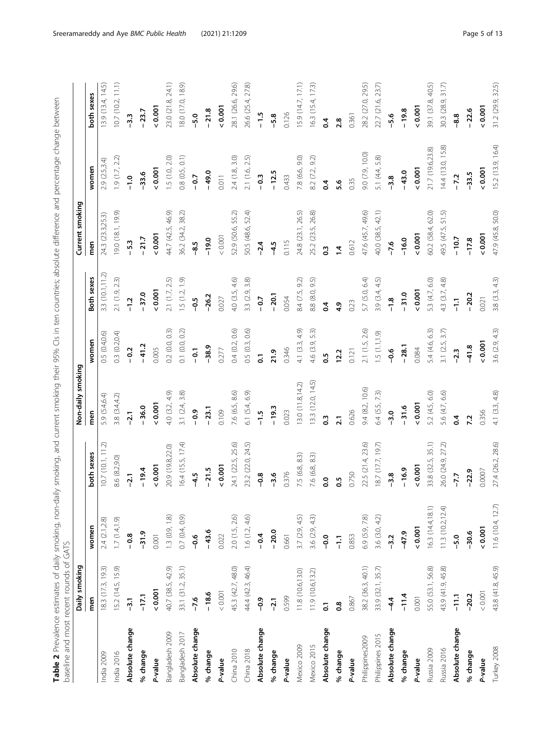| baseline and most recent rounds of GATS |                   |                   |                      |                   |                |                  |                   |                   |                   |
|-----------------------------------------|-------------------|-------------------|----------------------|-------------------|----------------|------------------|-------------------|-------------------|-------------------|
|                                         | Daily smoking     |                   |                      | Non-daily smoking |                |                  | Current smoking   |                   |                   |
|                                         | men               | women             | both sexes           | men               | women          | Both sexes       | men               | women             | both sexes        |
| ndia 2009                               | 18.3 (17.3, 19.3) | 2.4 (2.1,2.8)     | 10.7(10.1, 11.2)     | 5.9 (5.4,6.4)     | 0.5(0.4,0.6)   | 3.3 (10.1, 11.2) | 24.3 (23.3,25.3)  | 2.9(2.5,3.4)      | 13.9 (13.4, 14.5) |
| India 2016                              | 15.2 (14.5, 15.9) | 1.7(1.4,1.9)      | 8.6 (8.2,9.0)        | 3.8 (3.4,4.2)     | 0.3(0.2,0.4)   | 2.1(1.9, 2.3)    | 9.0 (18.1, 19.9)  | 1.9(1.7, 2.2)     | 10.7(10.2, 11.1)  |
| Absolute change                         | $-3.1$            | $-0.8$            | $-2.1$               | $-2.1$            | $-0.2$         | $-1.2$           | $-5.3$            | $-1.0$            | $-3.3$            |
| % change                                | $-17.1$           | $-31.9$           | $-19.4$              | $-36.0$           | $-41.2$        | $-37.0$          | $-21.7$           | $-33.6$           | $-23.7$           |
| P-value                                 | 0.001             | 0.001             | 0.001                | 0.001             | 0.005          | 0.001            | 0.001             | 0.001             | 0.001             |
| Bangladesh 2009                         | 40.7 (38.5, 42.9) | 1.3(0.9, 1.8)     | 20.9 (19.8,22.0)     | 4.0 (3.2, 4.9)    | 0.2(0.0, 0.3)  | 2.1(1.7, 2.5)    | 44.7 (42.5, 46.9) | 1.5(1.0, 2.0)     | 23.0 (21.8, 24.1) |
| Bangladesh 2017                         | 33.1 (31.2, 35.1) | 0.7(0.4, 0.9)     | 16.4 (15.5, 17.4)    | 3.1 (2.4, 3.8)    | 0.1 (0.0, 0.2) | 1.5(1.2, 1.9)    | 36.2 (34.2, 38.2) | 0.8(0.5, 0.1)     | 8.0 (17.0, 18.9)  |
| Absolute change                         | $-7.6$            | $-0.6$            | $-4.5$               | $-0.9$            | $-0.1$         | $\frac{5}{2}$    | $-8.5$            | $-0.7$            | $-5.0$            |
| % change                                | $-18.6$           | $-43.6$           | $-21.5$              | $-23.1$           | $-38.9$        | $-26.2$          | $-19.0$           | $-49.0$           | $-21.8$           |
| P-value                                 | 0.001             | 0.022             | 0.001                | 0.109             | 0.277          | 0.027            | 0.001             | 0.011             | 0.001             |
| China 2010                              | 45.3 (42.7, 48.0) | 2.0 (1.5, 2.6)    | 24.1 (22.5, 25.6)    | 7.6 (6.5, 8.6)    | 0.4(0.2, 0.6)  | 4.0 (3.5, 4.6)   | 52.9 (50.6, 55.2) | 2.4(1.8, 3.0)     | 28.1 (26.6, 29.6) |
| China 2018                              | 44.4 (42.3, 46.4) | 1.6(1.2, 4.6)     | 23.2 (22.0, 24.5)    | 6.1 (5.4, 6.9)    | 0.5(0.3, 0.6)  | 3.3 (2.9, 3.8)   | 50.5 (48.6, 52.4) | 2.1(1.6, 2.5)     | 26.6 (25.4, 27.8) |
| Absolute change                         | $-0.9$            | $-0.4$            | $-0.8$               | $-1.5$            | 5              | $-0.7$           | $-2.4$            | $-0.3$            | $-1.5$            |
| % change                                | $-2.1$            | $-20.0$           | $-3.6$               | $-19.3$           | 21.9           | $-20.1$          | $-4.5$            | $-12.5$           | $-5.8$            |
| P-value                                 | 0.599             | 0.661             | 0.376                | 0.023             | 0.346          | 0.054            | 0.115             | 0.433             | 0.126             |
| Mexico 2009                             | 11.8 (10.6,13.0)  | 3.7(2.9, 4.5)     | 7.5 (6.8, 8.3)       | 3.0(11.8, 14.2)   | 4.1 (3.3, 4.9) | 8.4 (7.5, 9.2)   | 24.8 (23.1, 26.5) | 7.8 (6.6, 9.0)    | 15.9 (14.7, 17.1) |
| Mexico 2015                             | 11.9 (10.6,13.2)  | 3.6(2.9, 4.3)     | 7.6 (6.8, 8.3)       | 13.3(12.0, 14.5)  | 4.6 (3.9, 5.3) | 8.8 (8.0, 9.5)   | 25.2 (23.5, 26.8) | 8.2 (7.2, 9.2)    | 16.3 (15.4, 17.3) |
| Absolute change                         | 5                 | $-0.0$            | $\overline{0}$ .     | $\ddot{0}$        | 0.5            | 0.4              | $\ddot{0}$        | $\overline{0}$    | $\overline{0}$    |
| % change                                | 0.8               | 두                 | $\ddot{0}$           | $\overline{2}$ .  | 12.2           | 4.9              | $\ddot{ }$        | 5.6               | 2.8               |
| P-value                                 | 0.867             | 0.853             | 0.750                | 0.626             | 0.121          | 0.23             | 0.612             | 0.35              | 0.361             |
| Philippines2009                         | 38.2 (36.3, 40.1) | 6.9 (5.9, 7.8)    | 22.5 (21.4, 23.6)    | 9.4 (8.2, 10.6)   | 2.1(1.5, 2.6)  | 5.7 (5.0, 6.4)   | 47.6 (45.7, 49.6) | 9.0 (7.9, 10.0)   | 28.2 (27.0, 29.5) |
| Philippines 2015                        | 33.9 (32.1, 35.7) | 3.6 (3.0, 4.2)    | 18.7 (17.7, 19.7)    | 6.4 (5.5, 7.3)    | (1.5(1.1, 1.9) | 3.9 $(3.4, 4.5)$ | 40.0 (38.5, 42.1) | 5.1 (4.4, 5.8)    | 22.7 (21.6, 23.7) |
| Absolute change                         | $-4.4$            | $-3.2$            | $-3.8$               | $-3.0$            | $-0.6$         | $-1.8$           | $-7.6$            | $-3.8$            | $-5.6$            |
| % change                                | $-11.4$           | $-47.9$           | $-16.9$              | $-31.6$           | $-28.1$        | $-31.0$          | $-16.0$           | $-43.0$           | $-19.8$           |
| P-value                                 | 0.001             | 0.001             | 0.001                | 0.001             | 0.084          | 0.001            | 0.001             | 0.001             | 0.001             |
| Russia 2009                             | 55.0 (53.1, 56.8) | 16.3 (14.4, 18.1) | 35.1)<br>33.8 (32.5, | 5.2 (4.5, 6.0)    | 5.4 (4.6, 6.3) | 5.3 (4.7, 6.0)   | 60.2 (58.4, 62.0) | 21.7 (19.6,23.8)  | 39.1 (37.8, 40.5) |
| Russia 2016                             | 43.9 (41.9, 45.8) | 11.3(10.2, 12.4)  | 26.0 (24.9, 27.2)    | 5.6 (4.7, 6.6)    | 3.1(2.5, 3.7)  | 4.3 (3.7, 4.8)   | 49.5 (47.5, 51.5) | 14.4(13.0, 15.8)  | 30.3 (28.9, 31.7) |
| Absolute change                         | $-11.1$           | $-5.0$            | $-7.7$               | $\overline{6}$    | $-2.3$         | $\frac{1}{2}$    | $-10.7$           | $-7.2$            | $-8.8$            |
| % change                                | $-20.2$           | $-30.6$           | $-22.9$              | 7.2               | $-41.8$        | $-20.2$          | $-17.8$           | $-33.5$           | $-22.6$           |
| P-value                                 | < 0.001           | 0.001             | 0.0007               | 0.356             | 0.001          | 0.021            | 0.001             | 0.001             | 0.001             |
| Turkey 2008                             | 43.8 (41.8, 45.9) | 11.6 (10.4, 12.7) | 27.4 (26.2, 28.6)    | 4.1 (3.3, 4.8)    | 3.6(2.9, 4.3)  | 3.8 (3.3, 4.3)   | 47.9 (45.8, 50.0) | 15.2 (13.9, 16.4) | 31.2 (29.9, 32.5) |

<span id="page-4-0"></span>

Table 2 Prevalence estimates of daily smoking, and current smoking their 95% CIs in ten countries; absolute difference and percentage change between

Table 2 Prevalence estimates of daily smoking, non-daily smoking, and current smoking their 95% Cls in ten countries; absolute difference and percentage change between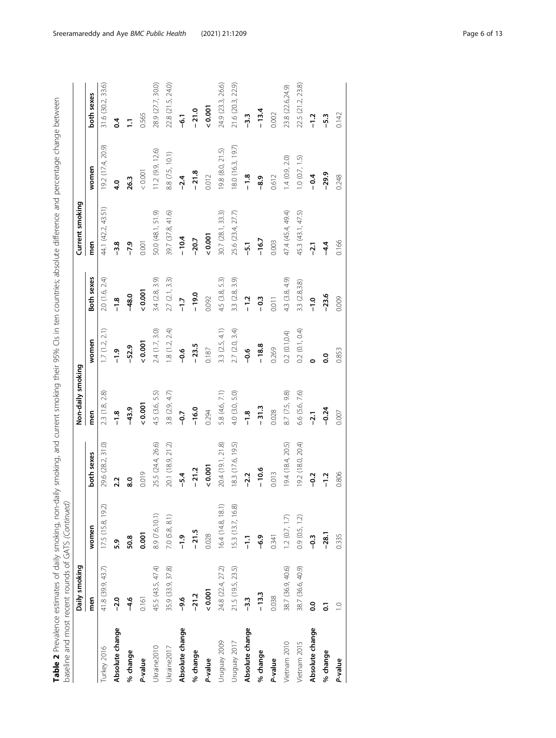| baseline and most recent rounds of GATS (Continued) |                   |                    |                   |                   |                |                  | Table 2 Prevalence estimates of daily smoking, non-daily smoking, and current smoking their 95% Cls in ten countries; absolute difference and percentage change between |                   |                   |
|-----------------------------------------------------|-------------------|--------------------|-------------------|-------------------|----------------|------------------|-------------------------------------------------------------------------------------------------------------------------------------------------------------------------|-------------------|-------------------|
|                                                     | Daily smoking     |                    |                   | Non-daily smoking |                |                  | Current smoking                                                                                                                                                         |                   |                   |
|                                                     | men               | women              | both sexes        | men               | women          | Both sexes       | men                                                                                                                                                                     | women             | both sexes        |
| Turkey 2016                                         | 41.8 (39.9, 43.7) | 17.5(15.8, 19.2)   | 29.6 (28.2, 31.0) | 2.3 (1.8, 2.8)    | 1.7(1.2, 2.1)  | 2.0 (1.6, 2.4)   | 44.1 (42.2, 43.51)                                                                                                                                                      | 19.2 (17.4, 20.9) | 31.6 (30.2, 33.6) |
| Absolute change                                     | $-2.0$            | 5.9                | 2.2               | $-1.8$            | $-1.9$         | $-1.8$           | $-3.8$                                                                                                                                                                  | 4.0               | $\overline{6}$    |
| % change                                            | $-4.6$            | 50.8               | $\overline{8.0}$  | $-43.9$           | $-52.9$        | $-48.0$          | $-7.9$                                                                                                                                                                  | 26.3              | Ξ                 |
| P-value                                             | 0.161             | 0.001              | 0.019             | 0.001             | 0.001          | 0.001            | 0.001                                                                                                                                                                   | < 0.001           | 0.565             |
| Ukraine2010                                         | 45.5 (43.5, 47.4) | 8.9 (7.6,10.1)     | 25.5 (24.4, 26.6) | 4.5 (3.6, 5.5)    | 2.4 (1.7, 3.0) | 3.4 (2.8, 3.9)   | 50.0 (48.1, 51.9)                                                                                                                                                       | 11.2(9.9, 12.6)   | 28.9 (27.7, 30.0) |
| Jkraine <sub>2017</sub>                             | 35.9 (33.9, 37.8) | $7.0$ $(5.8, 8.1)$ | 20.1 (18.9, 21.2) | 3.8 $(2.9, 4.7)$  | 1.8(1.2, 2.4)  | 2.7(2.1, 3.3)    | 39.7 (37.8, 41.6)                                                                                                                                                       | 8.8 (7.5, 10.1)   | 22.8 (21.5, 24.0) |
| Absolute change                                     | $-9.6$            | $-1.9$             | $-5.4$            | $-9.7$            | $-0.6$         | $\overline{1.7}$ | $-10.4$                                                                                                                                                                 | $-2.4$            | -6.1              |
| % change                                            | $-21.2$           | $-21.5$            | $-21.2$           | $-16.0$           | $-23.5$        | $-19.0$          | $-20.7$                                                                                                                                                                 | $-21.8$           | $-21.0$           |
| P-value                                             | 0.001             | 0.028              | 0.001             | 0.294             | 0.187          | 0.092            | 0.001                                                                                                                                                                   | 0.012             | 0.001             |
| Uruguay 2009                                        | 24.8 (22.4, 27.2) | 16.4 (14.8, 18.1)  | 20.4 (19.1, 21.8) | 5.8 (4.6, 7.1)    | 3.3(2.5, 4.1)  | 4.5 (3.8, 5.3)   | 30.7 (28.1, 33.3)                                                                                                                                                       | 19.8 (8.0, 21.5)  | 24.9 (23.3, 26.6) |
| Uruguay 2017                                        | 21.5 (19.5, 23.5) | 15.3 (13.7, 16.8)  | 8.3 (17.6, 19.5)  | 4.0 (3.0, 5.0)    | 2.7(2.0, 3.4)  | 3.3 (2.8, 3.9)   | 25.6 (23.4, 27.7)                                                                                                                                                       | 18.0 (16.3, 19.7) | 21.6 (20.3, 22.9) |
| Absolute change                                     | $-3.3$            | $\frac{1}{1}$      | $-2.2$            | $-1.8$            | $-0.6$         | $-1.2$           | $-5\overline{1}$                                                                                                                                                        | $-1.8$            | $-3.3$            |
| % change                                            | $-13.3$           | $-6.9$             | $-10.6$           | $-31.3$           | $-18.8$        | $-0.3$           | $-16.7$                                                                                                                                                                 | $-8.9$            | $-13.4$           |
| P-value                                             | 0.038             | 0.341              | 0.013             | 0.028             | 0.269          | 0.011            | 0.003                                                                                                                                                                   | 0.612             | 0.002             |
| Vietnam 2010                                        | 38.7 (36.9, 40.6) | 1.2(0.7, 1.7)      | 9.4(18.4, 20.5)   | 8.7 (7.5, 9.8)    | 0.2(0.1, 0.4)  | 4.3 (3.8, 4.9)   | 47.4 (45.4, 49.4)                                                                                                                                                       | 1.4(0.9, 2.0)     | 23.8 (22.6,24.9)  |
| Vietnam 2015                                        | 38.7 (36.6, 40.9) | 0.9(0.5, 1.2)      | 9.2 (18.0, 20.4)  | 6.6 (5.6, 7.6)    | 0.2(0.1, 0.4)  | 3.3 (2.8,3.8)    | 45.3 (43.1, 47.5)                                                                                                                                                       | 1.0(0.7, 1.5)     | 22.5 (21.2, 23.8) |
| Absolute change                                     | o.o               | $-0.3$             | $\frac{2}{3}$     | $-2.1$            | c              | $-1.0$           | $-2.1$                                                                                                                                                                  | $-0.4$            | $-1.2$            |
| % change                                            | ្ច                | $-28.1$            | $-1.2$            | $-0.24$           | $\overline{0}$ | $-23.6$          | $-4.4$                                                                                                                                                                  | $-29.9$           | $-5.3$            |
| P-value                                             | $\supseteq$       | 0.335              | 0.806             | 0.007             | 0.853          | 0.009            | 0.166                                                                                                                                                                   | 0.248             | 0.142             |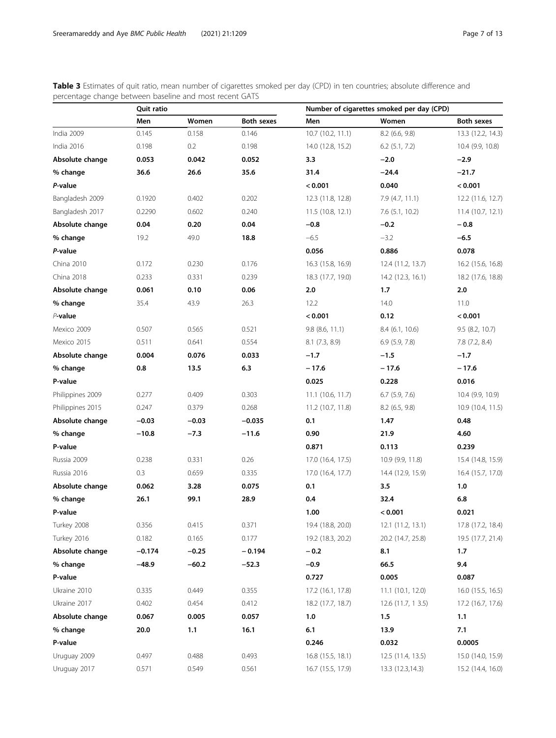<span id="page-6-0"></span>Table 3 Estimates of quit ratio, mean number of cigarettes smoked per day (CPD) in ten countries; absolute difference and percentage change between baseline and most recent GATS

|                  | Quit ratio |         |            |                   | Number of cigarettes smoked per day (CPD) |                   |
|------------------|------------|---------|------------|-------------------|-------------------------------------------|-------------------|
|                  | Men        | Women   | Both sexes | Men               | Women                                     | <b>Both sexes</b> |
| India 2009       | 0.145      | 0.158   | 0.146      | 10.7 (10.2, 11.1) | $8.2$ (6.6, 9.8)                          | 13.3 (12.2, 14.3) |
| India 2016       | 0.198      | 0.2     | 0.198      | 14.0 (12.8, 15.2) | $6.2$ $(5.1, 7.2)$                        | 10.4 (9.9, 10.8)  |
| Absolute change  | 0.053      | 0.042   | 0.052      | 3.3               | $-2.0$                                    | $-2.9$            |
| % change         | 36.6       | 26.6    | 35.6       | 31.4              | $-24.4$                                   | $-21.7$           |
| P-value          |            |         |            | < 0.001           | 0.040                                     | < 0.001           |
| Bangladesh 2009  | 0.1920     | 0.402   | 0.202      | 12.3 (11.8, 12.8) | 7.9(4.7, 11.1)                            | 12.2 (11.6, 12.7) |
| Bangladesh 2017  | 0.2290     | 0.602   | 0.240      | 11.5(10.8, 12.1)  | $7.6$ (5.1, 10.2)                         | 11.4(10.7, 12.1)  |
| Absolute change  | 0.04       | 0.20    | 0.04       | $-0.8$            | $-0.2$                                    | $-0.8$            |
| % change         | 19.2       | 49.0    | 18.8       | $-6.5$            | $-3.2$                                    | $-6.5$            |
| P-value          |            |         |            | 0.056             | 0.886                                     | 0.078             |
| China 2010       | 0.172      | 0.230   | 0.176      | 16.3 (15.8, 16.9) | 12.4 (11.2, 13.7)                         | 16.2 (15.6, 16.8) |
| China 2018       | 0.233      | 0.331   | 0.239      | 18.3 (17.7, 19.0) | 14.2 (12.3, 16.1)                         | 18.2 (17.6, 18.8) |
| Absolute change  | 0.061      | 0.10    | 0.06       | 2.0               | 1.7                                       | 2.0               |
| % change         | 35.4       | 43.9    | 26.3       | 12.2              | 14.0                                      | 11.0              |
| $P$ -value       |            |         |            | < 0.001           | 0.12                                      | < 0.001           |
| Mexico 2009      | 0.507      | 0.565   | 0.521      | $9.8$ (8.6, 11.1) | 8.4(6.1, 10.6)                            | $9.5$ (8.2, 10.7) |
| Mexico 2015      | 0.511      | 0.641   | 0.554      | 8.1(7.3, 8.9)     | 6.9(5.9, 7.8)                             | 7.8(7.2, 8.4)     |
| Absolute change  | 0.004      | 0.076   | 0.033      | $-1.7$            | $-1.5$                                    | $-1.7$            |
| % change         | 0.8        | 13.5    | 6.3        | $-17.6$           | $-17.6$                                   | $-17.6$           |
| P-value          |            |         |            | 0.025             | 0.228                                     | 0.016             |
| Philippines 2009 | 0.277      | 0.409   | 0.303      | 11.1(10.6, 11.7)  | $6.7$ $(5.9, 7.6)$                        | 10.4 (9.9, 10.9)  |
| Philippines 2015 | 0.247      | 0.379   | 0.268      | 11.2 (10.7, 11.8) | $8.2$ (6.5, 9.8)                          | 10.9 (10.4, 11.5) |
| Absolute change  | $-0.03$    | $-0.03$ | $-0.035$   | 0.1               | 1.47                                      | 0.48              |
| % change         | $-10.8$    | $-7.3$  | $-11.6$    | 0.90              | 21.9                                      | 4.60              |
| P-value          |            |         |            | 0.871             | 0.113                                     | 0.239             |
| Russia 2009      | 0.238      | 0.331   | 0.26       | 17.0 (16.4, 17.5) | 10.9 (9.9, 11.8)                          | 15.4 (14.8, 15.9) |
| Russia 2016      | 0.3        | 0.659   | 0.335      | 17.0 (16.4, 17.7) | 14.4 (12.9, 15.9)                         | 16.4 (15.7, 17.0) |
| Absolute change  | 0.062      | 3.28    | 0.075      | 0.1               | 3.5                                       | 1.0               |
| % change         | 26.1       | 99.1    | 28.9       | 0.4               | 32.4                                      | 6.8               |
| P-value          |            |         |            | 1.00              | < 0.001                                   | 0.021             |
| Turkey 2008      | 0.356      | 0.415   | 0.371      | 19.4 (18.8, 20.0) | 12.1 (11.2, 13.1)                         | 17.8 (17.2, 18.4) |
| Turkey 2016      | 0.182      | 0.165   | 0.177      | 19.2 (18.3, 20.2) | 20.2 (14.7, 25.8)                         | 19.5 (17.7, 21.4) |
| Absolute change  | $-0.174$   | $-0.25$ | $-0.194$   | $-0.2$            | 8.1                                       | 1.7               |
| % change         | $-48.9$    | $-60.2$ | $-52.3$    | $-0.9$            | 66.5                                      | 9.4               |
| P-value          |            |         |            | 0.727             | 0.005                                     | 0.087             |
| Ukraine 2010     | 0.335      | 0.449   | 0.355      | 17.2 (16.1, 17.8) | 11.1 (10.1, 12.0)                         | 16.0(15.5, 16.5)  |
| Ukraine 2017     | 0.402      | 0.454   | 0.412      | 18.2 (17.7, 18.7) | 12.6(11.7, 13.5)                          | 17.2 (16.7, 17.6) |
| Absolute change  | 0.067      | 0.005   | 0.057      | $1.0\,$           | 1.5                                       | 1.1               |
| % change         | 20.0       | $1.1$   | 16.1       | 6.1               | 13.9                                      | 7.1               |
| P-value          |            |         |            | 0.246             | 0.032                                     | 0.0005            |
| Uruguay 2009     | 0.497      | 0.488   | 0.493      | 16.8 (15.5, 18.1) | 12.5 (11.4, 13.5)                         | 15.0 (14.0, 15.9) |
| Uruguay 2017     | 0.571      | 0.549   | 0.561      | 16.7 (15.5, 17.9) | 13.3 (12.3,14.3)                          | 15.2 (14.4, 16.0) |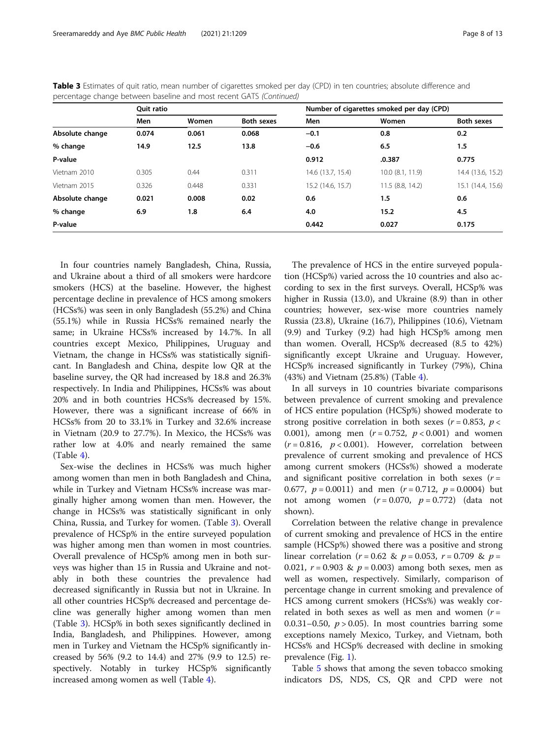|                 | <b>Ouit ratio</b> |       |                   |                   | Number of cigarettes smoked per day (CPD) |                   |
|-----------------|-------------------|-------|-------------------|-------------------|-------------------------------------------|-------------------|
|                 | Men               | Women | <b>Both sexes</b> | Men               | Women                                     | <b>Both sexes</b> |
| Absolute change | 0.074             | 0.061 | 0.068             | $-0.1$            | 0.8                                       | 0.2               |
| % change        | 14.9              | 12.5  | 13.8              | $-0.6$            | 6.5                                       | 1.5               |
| P-value         |                   |       |                   | 0.912             | .0.387                                    | 0.775             |
| Vietnam 2010    | 0.305             | 0.44  | 0.311             | 14.6 (13.7, 15.4) | $10.0$ $(8.1, 11.9)$                      | 14.4 (13.6, 15.2) |
| Vietnam 2015    | 0.326             | 0.448 | 0.331             | 15.2 (14.6, 15.7) | 11.5 (8.8, 14.2)                          | 15.1 (14.4, 15.6) |
| Absolute change | 0.021             | 0.008 | 0.02              | 0.6               | 1.5                                       | 0.6               |
| % change        | 6.9               | 1.8   | 6.4               | 4.0               | 15.2                                      | 4.5               |
| P-value         |                   |       |                   | 0.442             | 0.027                                     | 0.175             |

Table 3 Estimates of quit ratio, mean number of cigarettes smoked per day (CPD) in ten countries; absolute difference and percentage change between baseline and most recent GATS (Continued)

In four countries namely Bangladesh, China, Russia, and Ukraine about a third of all smokers were hardcore smokers (HCS) at the baseline. However, the highest percentage decline in prevalence of HCS among smokers (HCSs%) was seen in only Bangladesh (55.2%) and China (55.1%) while in Russia HCSs% remained nearly the same; in Ukraine HCSs% increased by 14.7%. In all countries except Mexico, Philippines, Uruguay and Vietnam, the change in HCSs% was statistically significant. In Bangladesh and China, despite low QR at the baseline survey, the QR had increased by 18.8 and 26.3% respectively. In India and Philippines, HCSs% was about 20% and in both countries HCSs% decreased by 15%. However, there was a significant increase of 66% in HCSs% from 20 to 33.1% in Turkey and 32.6% increase in Vietnam (20.9 to 27.7%). In Mexico, the HCSs% was rather low at 4.0% and nearly remained the same  $(Table 4)$  $(Table 4)$ .

Sex-wise the declines in HCSs% was much higher among women than men in both Bangladesh and China, while in Turkey and Vietnam HCSs% increase was marginally higher among women than men. However, the change in HCSs% was statistically significant in only China, Russia, and Turkey for women. (Table [3](#page-6-0)). Overall prevalence of HCSp% in the entire surveyed population was higher among men than women in most countries. Overall prevalence of HCSp% among men in both surveys was higher than 15 in Russia and Ukraine and notably in both these countries the prevalence had decreased significantly in Russia but not in Ukraine. In all other countries HCSp% decreased and percentage decline was generally higher among women than men (Table [3](#page-6-0)). HCSp% in both sexes significantly declined in India, Bangladesh, and Philippines. However, among men in Turkey and Vietnam the HCSp% significantly increased by 56% (9.2 to 14.4) and 27% (9.9 to 12.5) respectively. Notably in turkey HCSp% significantly increased among women as well (Table [4\)](#page-8-0).

The prevalence of HCS in the entire surveyed population (HCSp%) varied across the 10 countries and also according to sex in the first surveys. Overall, HCSp% was higher in Russia (13.0), and Ukraine (8.9) than in other countries; however, sex-wise more countries namely Russia (23.8), Ukraine (16.7), Philippines (10.6), Vietnam (9.9) and Turkey (9.2) had high HCSp% among men than women. Overall, HCSp% decreased (8.5 to 42%) significantly except Ukraine and Uruguay. However, HCSp% increased significantly in Turkey (79%), China (43%) and Vietnam (25.8%) (Table [4](#page-8-0)).

In all surveys in 10 countries bivariate comparisons between prevalence of current smoking and prevalence of HCS entire population (HCSp%) showed moderate to strong positive correlation in both sexes ( $r = 0.853$ ,  $p <$ 0.001), among men ( $r = 0.752$ ,  $p < 0.001$ ) and women  $(r = 0.816, p < 0.001)$ . However, correlation between prevalence of current smoking and prevalence of HCS among current smokers (HCSs%) showed a moderate and significant positive correlation in both sexes  $(r =$ 0.677,  $p = 0.0011$ ) and men  $(r = 0.712, p = 0.0004)$  but not among women  $(r = 0.070, p = 0.772)$  (data not shown).

Correlation between the relative change in prevalence of current smoking and prevalence of HCS in the entire sample (HCSp%) showed there was a positive and strong linear correlation ( $r = 0.62 \& p = 0.053$ ,  $r = 0.709 \& p = 0.053$ 0.021,  $r = 0.903$  &  $p = 0.003$ ) among both sexes, men as well as women, respectively. Similarly, comparison of percentage change in current smoking and prevalence of HCS among current smokers (HCSs%) was weakly correlated in both sexes as well as men and women  $(r =$ 0.0.31–0.50,  $p > 0.05$ ). In most countries barring some exceptions namely Mexico, Turkey, and Vietnam, both HCSs% and HCSp% decreased with decline in smoking prevalence (Fig. [1\)](#page-3-0).

Table [5](#page-9-0) shows that among the seven tobacco smoking indicators DS, NDS, CS, QR and CPD were not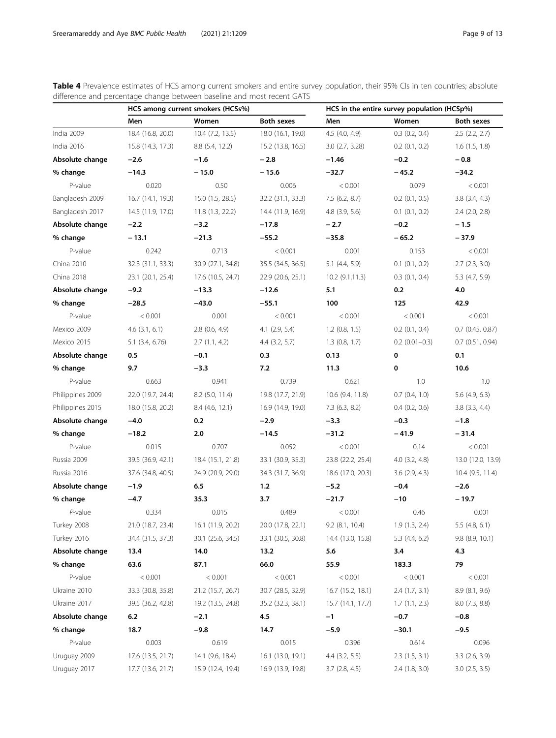|                  |                    | HCS among current smokers (HCSs%) |                    |                    | HCS in the entire survey population (HCSp%) |                      |
|------------------|--------------------|-----------------------------------|--------------------|--------------------|---------------------------------------------|----------------------|
|                  | Men                | Women                             | <b>Both sexes</b>  | Men                | Women                                       | <b>Both sexes</b>    |
| India 2009       | 18.4 (16.8, 20.0)  | 10.4 (7.2, 13.5)                  | 18.0 (16.1, 19.0)  | 4.5(4.0, 4.9)      | $0.3$ $(0.2, 0.4)$                          | $2.5$ (2.2, 2.7)     |
| India 2016       | 15.8 (14.3, 17.3)  | 8.8 (5.4, 12.2)                   | 15.2 (13.8, 16.5)  | 3.0(2.7, 3.28)     | $0.2$ $(0.1, 0.2)$                          | $1.6$ $(1.5, 1.8)$   |
| Absolute change  | $-2.6$             | $-1.6$                            | $-2.8$             | $-1.46$            | $-0.2$                                      | $-0.8$               |
| % change         | $-14.3$            | $-15.0$                           | $-15.6$            | $-32.7$            | $-45.2$                                     | $-34.2$              |
| P-value          | 0.020              | 0.50                              | 0.006              | < 0.001            | 0.079                                       | < 0.001              |
| Bangladesh 2009  | 16.7 (14.1, 19.3)  | 15.0 (1.5, 28.5)                  | 32.2 (31.1, 33.3)  | 7.5(6.2, 8.7)      | $0.2$ $(0.1, 0.5)$                          | $3.8$ $(3.4, 4.3)$   |
| Bangladesh 2017  | 14.5 (11.9, 17.0)  | 11.8(1.3, 22.2)                   | 14.4 (11.9, 16.9)  | $4.8$ $(3.9, 5.6)$ | $0.1$ $(0.1, 0.2)$                          | $2.4$ $(2.0, 2.8)$   |
| Absolute change  | $-2.2$             | $-3.2$                            | $-17.8$            | $-2.7$             | $-0.2$                                      | $-1.5$               |
| % change         | $-13.1$            | $-21.3$                           | $-55.2$            | $-35.8$            | $-65.2$                                     | $-37.9$              |
| P-value          | 0.242              | 0.713                             | < 0.001            | 0.001              | 0.153                                       | < 0.001              |
| China 2010       | 32.3 (31.1, 33.3)  | 30.9 (27.1, 34.8)                 | 35.5 (34.5, 36.5)  | 5.1(4.4, 5.9)      | $0.1$ $(0.1, 0.2)$                          | $2.7$ $(2.3, 3.0)$   |
| China 2018       | 23.1 (20.1, 25.4)  | 17.6 (10.5, 24.7)                 | 22.9 (20.6, 25.1)  | 10.2(9.1, 11.3)    | $0.3$ $(0.1, 0.4)$                          | 5.3(4.7, 5.9)        |
| Absolute change  | $-9.2$             | $-13.3$                           | $-12.6$            | 5.1                | 0.2                                         | 4.0                  |
| % change         | $-28.5$            | $-43.0$                           | $-55.1$            | 100                | 125                                         | 42.9                 |
| P-value          | < 0.001            | 0.001                             | < 0.001            | < 0.001            | < 0.001                                     | < 0.001              |
| Mexico 2009      | $4.6$ $(3.1, 6.1)$ | $2.8$ (0.6, 4.9)                  | $4.1$ $(2.9, 5.4)$ | $1.2$ (0.8, 1.5)   | $0.2$ $(0.1, 0.4)$                          | $0.7$ (0.45, 0.87)   |
| Mexico 2015      | 5.1 (3.4, 6.76)    | 2.7(1.1, 4.2)                     | $4.4$ $(3.2, 5.7)$ | $1.3$ (0.8, 1.7)   | $0.2$ (0.01-0.3)                            | $0.7$ $(0.51, 0.94)$ |
| Absolute change  | 0.5                | $-0.1$                            | 0.3                | 0.13               | 0                                           | 0.1                  |
| % change         | 9.7                | $-3.3$                            | 7.2                | 11.3               | 0                                           | 10.6                 |
| P-value          | 0.663              | 0.941                             | 0.739              | 0.621              | 1.0                                         | 1.0                  |
| Philippines 2009 | 22.0 (19.7, 24.4)  | 8.2 (5.0, 11.4)                   | 19.8 (17.7, 21.9)  | 10.6 (9.4, 11.8)   | $0.7$ $(0.4, 1.0)$                          | $5.6$ (4.9, 6.3)     |
| Philippines 2015 | 18.0 (15.8, 20.2)  | 8.4 (4.6, 12.1)                   | 16.9 (14.9, 19.0)  | 7.3(6.3, 8.2)      | $0.4$ $(0.2, 0.6)$                          | 3.8(3.3, 4.4)        |
| Absolute change  | $-4.0$             | 0.2                               | $-2.9$             | $-3.3$             | $-0.3$                                      | $-1.8$               |
| % change         | $-18.2$            | 2.0                               | $-14.5$            | $-31.2$            | $-41.9$                                     | $-31.4$              |
| P-value          | 0.015              | 0.707                             | 0.052              | < 0.001            | 0.14                                        | < 0.001              |
| Russia 2009      | 39.5 (36.9, 42.1)  | 18.4 (15.1, 21.8)                 | 33.1 (30.9, 35.3)  | 23.8 (22.2, 25.4)  | $4.0$ $(3.2, 4.8)$                          | 13.0 (12.0, 13.9)    |
| Russia 2016      | 37.6 (34.8, 40.5)  | 24.9 (20.9, 29.0)                 | 34.3 (31.7, 36.9)  | 18.6 (17.0, 20.3)  | $3.6$ $(2.9, 4.3)$                          | 10.4 (9.5, 11.4)     |
| Absolute change  | $-1.9$             | 6.5                               | 1.2                | $-5.2$             | $-0.4$                                      | $-2.6$               |
| % change         | $-4.7$             | 35.3                              | 3.7                | $-21.7$            | $-10$                                       | - 19.7               |
| P-value          | 0.334              | 0.015                             | 0.489              | < 0.001            | 0.46                                        | 0.001                |
| Turkey 2008      | 21.0 (18.7, 23.4)  | 16.1 (11.9, 20.2)                 | 20.0 (17.8, 22.1)  | $9.2$ (8.1, 10.4)  | 1.9(1.3, 2.4)                               | $5.5$ (4.8, 6.1)     |
| Turkey 2016      | 34.4 (31.5, 37.3)  | 30.1 (25.6, 34.5)                 | 33.1 (30.5, 30.8)  | 14.4 (13.0, 15.8)  | 5.3(4.4, 6.2)                               | 9.8 (8.9, 10.1)      |
| Absolute change  | 13.4               | 14.0                              | 13.2               | 5.6                | 3.4                                         | 4.3                  |
| % change         | 63.6               | 87.1                              | 66.0               | 55.9               | 183.3                                       | 79                   |
| P-value          | < 0.001            | < 0.001                           | < 0.001            | < 0.001            | < 0.001                                     | < 0.001              |
| Ukraine 2010     | 33.3 (30.8, 35.8)  | 21.2 (15.7, 26.7)                 | 30.7 (28.5, 32.9)  | 16.7 (15.2, 18.1)  | 2.4(1.7, 3.1)                               | 8.9 (8.1, 9.6)       |
| Ukraine 2017     | 39.5 (36.2, 42.8)  | 19.2 (13.5, 24.8)                 | 35.2 (32.3, 38.1)  | 15.7 (14.1, 17.7)  | 1.7(1.1, 2.3)                               | 8.0(7.3, 8.8)        |
| Absolute change  | 6.2                | $-2.1$                            | 4.5                | $-1$               | $-0.7$                                      | $-0.8$               |
| % change         | 18.7               | $-9.8$                            | 14.7               | $-5.9$             | $-30.1$                                     | $-9.5$               |
| P-value          | 0.003              | 0.619                             | 0.015              | 0.396              | 0.614                                       | 0.096                |
| Uruguay 2009     | 17.6 (13.5, 21.7)  | 14.1 (9.6, 18.4)                  | 16.1 (13.0, 19.1)  | $4.4$ (3.2, 5.5)   | 2.3(1.5, 3.1)                               | $3.3$ $(2.6, 3.9)$   |
| Uruguay 2017     | 17.7 (13.6, 21.7)  | 15.9 (12.4, 19.4)                 | 16.9 (13.9, 19.8)  | $3.7$ $(2.8, 4.5)$ | $2.4$ (1.8, 3.0)                            | $3.0$ (2.5, 3.5)     |

<span id="page-8-0"></span>Table 4 Prevalence estimates of HCS among current smokers and entire survey population, their 95% CIs in ten countries; absolute difference and percentage change between baseline and most recent GATS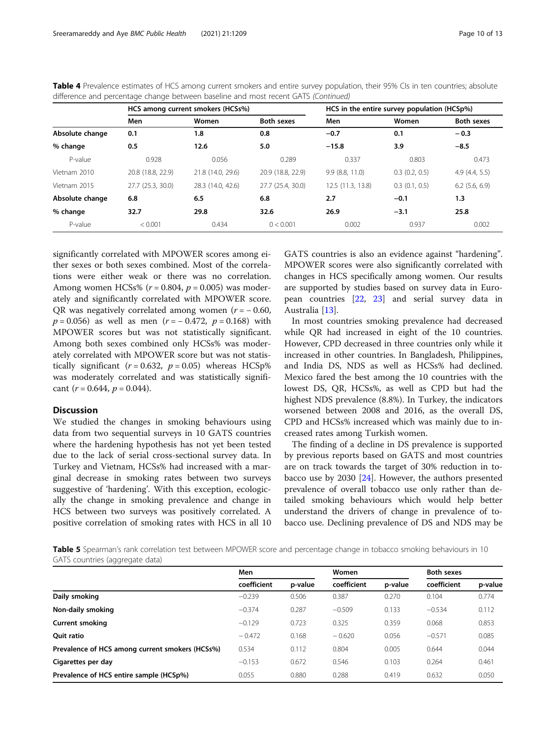|                 |                   | HCS among current smokers (HCSs%) |                   |                   | HCS in the entire survey population (HCSp%) |                   |
|-----------------|-------------------|-----------------------------------|-------------------|-------------------|---------------------------------------------|-------------------|
|                 | Men               | Women                             | <b>Both sexes</b> | Men               | Women                                       | <b>Both sexes</b> |
| Absolute change | 0.1               | 1.8                               | 0.8               | $-0.7$            | 0.1                                         | $-0.3$            |
| % change        | 0.5               | 12.6                              | 5.0               | $-15.8$           | 3.9                                         | $-8.5$            |
| P-value         | 0.928             | 0.056                             | 0.289             | 0.337             | 0.803                                       | 0.473             |
| Vietnam 2010    | 20.8 (18.8, 22.9) | 21.8 (14.0, 29.6)                 | 20.9 (18.8, 22.9) | 9.9(8.8, 11.0)    | $0.3$ $(0.2, 0.5)$                          | 4.9(4.4, 5.5)     |
| Vietnam 2015    | 27.7 (25.3, 30.0) | 28.3 (14.0, 42.6)                 | 27.7 (25.4, 30.0) | 12.5 (11.3, 13.8) | $0.3$ $(0.1, 0.5)$                          | $6.2$ (5.6, 6.9)  |
| Absolute change | 6.8               | 6.5                               | 6.8               | 2.7               | $-0.1$                                      | 1.3               |
| % change        | 32.7              | 29.8                              | 32.6              | 26.9              | $-3.1$                                      | 25.8              |
| P-value         | < 0.001           | 0.434                             | 0 < 0.001         | 0.002             | 0.937                                       | 0.002             |

<span id="page-9-0"></span>Table 4 Prevalence estimates of HCS among current smokers and entire survey population, their 95% CIs in ten countries; absolute difference and percentage change between baseline and most recent GATS (Continued)

significantly correlated with MPOWER scores among either sexes or both sexes combined. Most of the correlations were either weak or there was no correlation. Among women HCSs%  $(r = 0.804, p = 0.005)$  was moderately and significantly correlated with MPOWER score. QR was negatively correlated among women  $(r = -0.60,$  $p = 0.056$ ) as well as men (r = -0.472, p = 0.168) with MPOWER scores but was not statistically significant. Among both sexes combined only HCSs% was moderately correlated with MPOWER score but was not statistically significant ( $r = 0.632$ ,  $p = 0.05$ ) whereas HCSp% was moderately correlated and was statistically significant  $(r = 0.644, p = 0.044)$ .

#### **Discussion**

We studied the changes in smoking behaviours using data from two sequential surveys in 10 GATS countries where the hardening hypothesis has not yet been tested due to the lack of serial cross-sectional survey data. In Turkey and Vietnam, HCSs% had increased with a marginal decrease in smoking rates between two surveys suggestive of 'hardening'. With this exception, ecologically the change in smoking prevalence and change in HCS between two surveys was positively correlated. A positive correlation of smoking rates with HCS in all 10

GATS countries is also an evidence against "hardening". MPOWER scores were also significantly correlated with changes in HCS specifically among women. Our results are supported by studies based on survey data in European countries [\[22](#page-12-0), [23\]](#page-12-0) and serial survey data in Australia [[13](#page-11-0)].

In most countries smoking prevalence had decreased while QR had increased in eight of the 10 countries. However, CPD decreased in three countries only while it increased in other countries. In Bangladesh, Philippines, and India DS, NDS as well as HCSs% had declined. Mexico fared the best among the 10 countries with the lowest DS, QR, HCSs%, as well as CPD but had the highest NDS prevalence (8.8%). In Turkey, the indicators worsened between 2008 and 2016, as the overall DS, CPD and HCSs% increased which was mainly due to increased rates among Turkish women.

The finding of a decline in DS prevalence is supported by previous reports based on GATS and most countries are on track towards the target of 30% reduction in tobacco use by 2030 [[24\]](#page-12-0). However, the authors presented prevalence of overall tobacco use only rather than detailed smoking behaviours which would help better understand the drivers of change in prevalence of tobacco use. Declining prevalence of DS and NDS may be

Table 5 Spearman's rank correlation test between MPOWER score and percentage change in tobacco smoking behaviours in 10 GATS countries (aggregate data)

|                                                 | Men         |         | Women       |         | <b>Both sexes</b> |         |
|-------------------------------------------------|-------------|---------|-------------|---------|-------------------|---------|
|                                                 | coefficient | p-value | coefficient | p-value | coefficient       | p-value |
| Daily smoking                                   | $-0.239$    | 0.506   | 0.387       | 0.270   | 0.104             | 0.774   |
| Non-daily smoking                               | $-0.374$    | 0.287   | $-0.509$    | 0.133   | $-0.534$          | 0.112   |
| <b>Current smoking</b>                          | $-0.129$    | 0.723   | 0.325       | 0.359   | 0.068             | 0.853   |
| <b>Ouit ratio</b>                               | $-0.472$    | 0.168   | $-0.620$    | 0.056   | $-0.571$          | 0.085   |
| Prevalence of HCS among current smokers (HCSs%) | 0.534       | 0.112   | 0.804       | 0.005   | 0.644             | 0.044   |
| Cigarettes per day                              | $-0.153$    | 0.672   | 0.546       | 0.103   | 0.264             | 0.461   |
| Prevalence of HCS entire sample (HCSp%)         | 0.055       | 0.880   | 0.288       | 0.419   | 0.632             | 0.050   |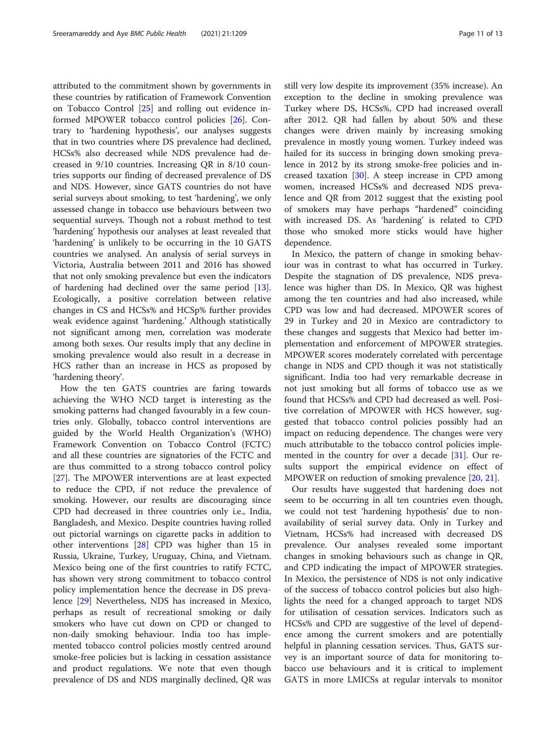attributed to the commitment shown by governments in these countries by ratification of Framework Convention on Tobacco Control [[25](#page-12-0)] and rolling out evidence informed MPOWER tobacco control policies [[26](#page-12-0)]. Contrary to 'hardening hypothesis', our analyses suggests that in two countries where DS prevalence had declined, HCSs% also decreased while NDS prevalence had decreased in 9/10 countries. Increasing QR in 8/10 countries supports our finding of decreased prevalence of DS and NDS. However, since GATS countries do not have serial surveys about smoking, to test 'hardening', we only assessed change in tobacco use behaviours between two sequential surveys. Though not a robust method to test 'hardening' hypothesis our analyses at least revealed that 'hardening' is unlikely to be occurring in the 10 GATS countries we analysed. An analysis of serial surveys in Victoria, Australia between 2011 and 2016 has showed that not only smoking prevalence but even the indicators of hardening had declined over the same period [\[13](#page-11-0)]. Ecologically, a positive correlation between relative changes in CS and HCSs% and HCSp% further provides weak evidence against 'hardening.' Although statistically not significant among men, correlation was moderate among both sexes. Our results imply that any decline in smoking prevalence would also result in a decrease in HCS rather than an increase in HCS as proposed by 'hardening theory'.

How the ten GATS countries are faring towards achieving the WHO NCD target is interesting as the smoking patterns had changed favourably in a few countries only. Globally, tobacco control interventions are guided by the World Health Organization's (WHO) Framework Convention on Tobacco Control (FCTC) and all these countries are signatories of the FCTC and are thus committed to a strong tobacco control policy [[27\]](#page-12-0). The MPOWER interventions are at least expected to reduce the CPD, if not reduce the prevalence of smoking. However, our results are discouraging since CPD had decreased in three countries only i.e., India, Bangladesh, and Mexico. Despite countries having rolled out pictorial warnings on cigarette packs in addition to other interventions [[28](#page-12-0)] CPD was higher than 15 in Russia, Ukraine, Turkey, Uruguay, China, and Vietnam. Mexico being one of the first countries to ratify FCTC, has shown very strong commitment to tobacco control policy implementation hence the decrease in DS prevalence [\[29](#page-12-0)] Nevertheless, NDS has increased in Mexico, perhaps as result of recreational smoking or daily smokers who have cut down on CPD or changed to non-daily smoking behaviour. India too has implemented tobacco control policies mostly centred around smoke-free policies but is lacking in cessation assistance and product regulations. We note that even though prevalence of DS and NDS marginally declined, QR was still very low despite its improvement (35% increase). An exception to the decline in smoking prevalence was Turkey where DS, HCSs%, CPD had increased overall after 2012. QR had fallen by about 50% and these changes were driven mainly by increasing smoking prevalence in mostly young women. Turkey indeed was hailed for its success in bringing down smoking prevalence in 2012 by its strong smoke-free policies and increased taxation [\[30](#page-12-0)]. A steep increase in CPD among women, increased HCSs% and decreased NDS prevalence and QR from 2012 suggest that the existing pool of smokers may have perhaps "hardened" coinciding with increased DS. As 'hardening' is related to CPD those who smoked more sticks would have higher dependence.

In Mexico, the pattern of change in smoking behaviour was in contrast to what has occurred in Turkey. Despite the stagnation of DS prevalence, NDS prevalence was higher than DS. In Mexico, QR was highest among the ten countries and had also increased, while CPD was low and had decreased. MPOWER scores of 29 in Turkey and 20 in Mexico are contradictory to these changes and suggests that Mexico had better implementation and enforcement of MPOWER strategies. MPOWER scores moderately correlated with percentage change in NDS and CPD though it was not statistically significant. India too had very remarkable decrease in not just smoking but all forms of tobacco use as we found that HCSs% and CPD had decreased as well. Positive correlation of MPOWER with HCS however, suggested that tobacco control policies possibly had an impact on reducing dependence. The changes were very much attributable to the tobacco control policies implemented in the country for over a decade [[31](#page-12-0)]. Our results support the empirical evidence on effect of MPOWER on reduction of smoking prevalence [\[20,](#page-12-0) [21\]](#page-12-0).

Our results have suggested that hardening does not seem to be occurring in all ten countries even though, we could not test 'hardening hypothesis' due to nonavailability of serial survey data. Only in Turkey and Vietnam, HCSs% had increased with decreased DS prevalence. Our analyses revealed some important changes in smoking behaviours such as change in QR, and CPD indicating the impact of MPOWER strategies. In Mexico, the persistence of NDS is not only indicative of the success of tobacco control policies but also highlights the need for a changed approach to target NDS for utilisation of cessation services. Indicators such as HCSs% and CPD are suggestive of the level of dependence among the current smokers and are potentially helpful in planning cessation services. Thus, GATS survey is an important source of data for monitoring tobacco use behaviours and it is critical to implement GATS in more LMICSs at regular intervals to monitor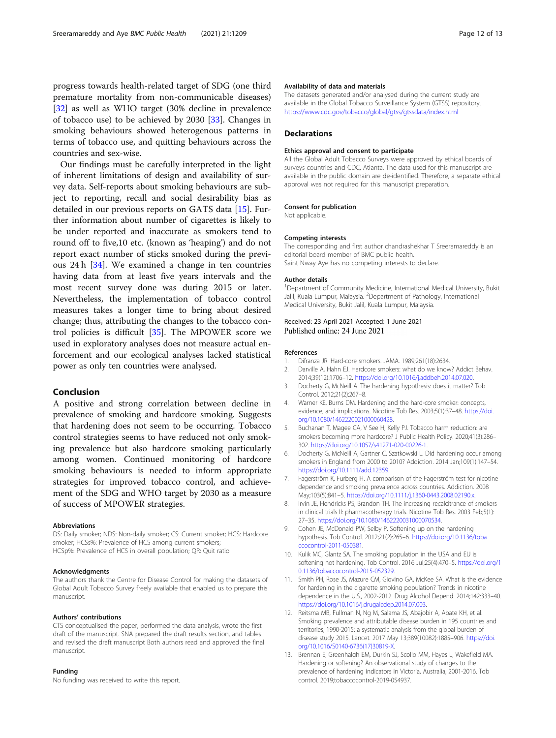<span id="page-11-0"></span>progress towards health-related target of SDG (one third premature mortality from non-communicable diseases) [[32\]](#page-12-0) as well as WHO target (30% decline in prevalence of tobacco use) to be achieved by 2030 [[33\]](#page-12-0). Changes in smoking behaviours showed heterogenous patterns in terms of tobacco use, and quitting behaviours across the countries and sex-wise.

Our findings must be carefully interpreted in the light of inherent limitations of design and availability of survey data. Self-reports about smoking behaviours are subject to reporting, recall and social desirability bias as detailed in our previous reports on GATS data [[15\]](#page-12-0). Further information about number of cigarettes is likely to be under reported and inaccurate as smokers tend to round off to five,10 etc. (known as 'heaping') and do not report exact number of sticks smoked during the previous 24 h [[34\]](#page-12-0). We examined a change in ten countries having data from at least five years intervals and the most recent survey done was during 2015 or later. Nevertheless, the implementation of tobacco control measures takes a longer time to bring about desired change; thus, attributing the changes to the tobacco control policies is difficult [[35\]](#page-12-0). The MPOWER score we used in exploratory analyses does not measure actual enforcement and our ecological analyses lacked statistical power as only ten countries were analysed.

### Conclusion

A positive and strong correlation between decline in prevalence of smoking and hardcore smoking. Suggests that hardening does not seem to be occurring. Tobacco control strategies seems to have reduced not only smoking prevalence but also hardcore smoking particularly among women. Continued monitoring of hardcore smoking behaviours is needed to inform appropriate strategies for improved tobacco control, and achievement of the SDG and WHO target by 2030 as a measure of success of MPOWER strategies.

#### Abbreviations

DS: Daily smoker; NDS: Non-daily smoker; CS: Current smoker; HCS: Hardcore smoker; HCSs%: Prevalence of HCS among current smokers; HCSp%: Prevalence of HCS in overall population; QR: Quit ratio

#### Acknowledgments

The authors thank the Centre for Disease Control for making the datasets of Global Adult Tobacco Survey freely available that enabled us to prepare this manuscript.

#### Authors' contributions

CTS conceptualised the paper, performed the data analysis, wrote the first draft of the manuscript. SNA prepared the draft results section, and tables and revised the draft manuscript Both authors read and approved the final manuscript.

#### Funding

No funding was received to write this report.

#### Availability of data and materials

The datasets generated and/or analysed during the current study are available in the Global Tobacco Surveillance System (GTSS) repository. <https://www.cdc.gov/tobacco/global/gtss/gtssdata/index.html>

#### **Declarations**

#### Ethics approval and consent to participate

All the Global Adult Tobacco Surveys were approved by ethical boards of surveys countries and CDC, Atlanta. The data used for this manuscript are available in the public domain are de-identified. Therefore, a separate ethical approval was not required for this manuscript preparation.

#### Consent for publication

Not applicable.

#### Competing interests

The corresponding and first author chandrashekhar T Sreeramareddy is an editorial board member of BMC public health. Saint Nway Aye has no competing interests to declare.

#### Author details

<sup>1</sup>Department of Community Medicine, International Medical University, Bukit Jalil, Kuala Lumpur, Malaysia. <sup>2</sup>Department of Pathology, International Medical University, Bukit Jalil, Kuala Lumpur, Malaysia.

#### Received: 23 April 2021 Accepted: 1 June 2021 Published online: 24 June 2021

#### References

- 1. Difranza JR. Hard-core smokers. JAMA. 1989;261(18):2634.
- 2. Darville A, Hahn EJ. Hardcore smokers: what do we know? Addict Behav. 2014;39(12):1706–12. [https://doi.org/10.1016/j.addbeh.2014.07.020.](https://doi.org/10.1016/j.addbeh.2014.07.020)
- 3. Docherty G, McNeill A. The hardening hypothesis: does it matter? Tob Control. 2012;21(2):267–8.
- 4. Warner KE, Burns DM. Hardening and the hard-core smoker: concepts, evidence, and implications. Nicotine Tob Res. 2003;5(1):37–48. [https://doi.](https://doi.org/10.1080/1462220021000060428) [org/10.1080/1462220021000060428.](https://doi.org/10.1080/1462220021000060428)
- 5. Buchanan T, Magee CA, V See H, Kelly PJ. Tobacco harm reduction: are smokers becoming more hardcore? J Public Health Policy. 2020;41(3):286-302. <https://doi.org/10.1057/s41271-020-00226-1>.
- 6. Docherty G, McNeill A, Gartner C, Szatkowski L. Did hardening occur among smokers in England from 2000 to 2010? Addiction. 2014 Jan;109(1):147–54. <https://doi.org/10.1111/add.12359>.
- 7. Fagerström K, Furberg H. A comparison of the Fagerström test for nicotine dependence and smoking prevalence across countries. Addiction. 2008 May;103(5):841–5. <https://doi.org/10.1111/j.1360-0443.2008.02190.x>.
- 8. Irvin JE, Hendricks PS, Brandon TH. The increasing recalcitrance of smokers in clinical trials II: pharmacotherapy trials. Nicotine Tob Res. 2003 Feb;5(1): 27–35. <https://doi.org/10.1080/1462220031000070534>.
- Cohen JE, McDonald PW, Selby P. Softening up on the hardening hypothesis. Tob Control. 2012;21(2):265–6. [https://doi.org/10.1136/toba](https://doi.org/10.1136/tobaccocontrol-2011-050381) [ccocontrol-2011-050381](https://doi.org/10.1136/tobaccocontrol-2011-050381).
- 10. Kulik MC, Glantz SA. The smoking population in the USA and EU is softening not hardening. Tob Control. 2016 Jul;25(4):470–5. [https://doi.org/1](https://doi.org/10.1136/tobaccocontrol-2015-052329) [0.1136/tobaccocontrol-2015-052329.](https://doi.org/10.1136/tobaccocontrol-2015-052329)
- 11. Smith PH, Rose JS, Mazure CM, Giovino GA, McKee SA. What is the evidence for hardening in the cigarette smoking population? Trends in nicotine dependence in the U.S., 2002-2012. Drug Alcohol Depend. 2014;142:333–40. <https://doi.org/10.1016/j.drugalcdep.2014.07.003>.
- 12. Reitsma MB, Fullman N, Ng M, Salama JS, Abajobir A, Abate KH, et al. Smoking prevalence and attributable disease burden in 195 countries and territories, 1990-2015: a systematic analysis from the global burden of disease study 2015. Lancet. 2017 May 13;389(10082):1885–906. [https://doi.](https://doi.org/10.1016/S0140-6736(17)30819-X) [org/10.1016/S0140-6736\(17\)30819-X](https://doi.org/10.1016/S0140-6736(17)30819-X).
- 13. Brennan E, Greenhalgh EM, Durkin SJ, Scollo MM, Hayes L, Wakefield MA. Hardening or softening? An observational study of changes to the prevalence of hardening indicators in Victoria, Australia, 2001-2016. Tob control. 2019;tobaccocontrol-2019-054937.